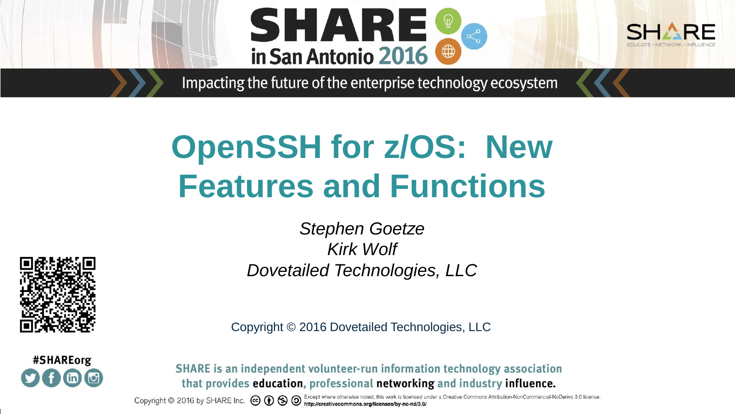



Impacting the future of the enterprise technology ecosystem

# **OpenSSH for z/OS: New Features and Functions**

*Stephen Goetze Kirk Wolf* **Dovetailed Technologies, LLC** 



Copyright © 2016 Dovetailed Technologies, LLC



SHARE is an independent volunteer-run information technology association that provides education, professional networking and industry influence.

Copyright © 2016 by SHARE Inc. CO O SHO Except where otherwise noted, this work is licensed under a Creative Commons Attribution-NonCommercial-NoDerivs 3.0 license.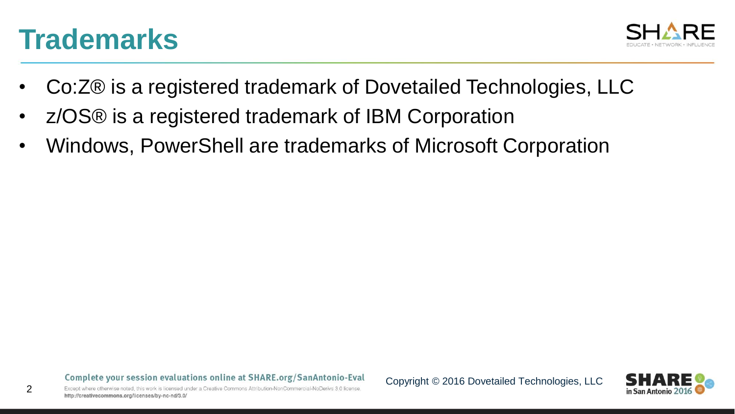#### **Trademarks**

 $\mathfrak{D}$ 



- Co:Z® is a registered trademark of Dovetailed Technologies, LLC
- z/OS® is a registered trademark of IBM Corporation
- Windows, PowerShell are trademarks of Microsoft Corporation

Complete your session evaluations online at SHARE.org/SanAntonio-Eval

Except where otherwise noted, this work is licensed under a Creative Commons Attribution-NonCommercial-NoDeriys 3.0 license http://creativecommons.org/licenses/by-nc-nd/3.0/

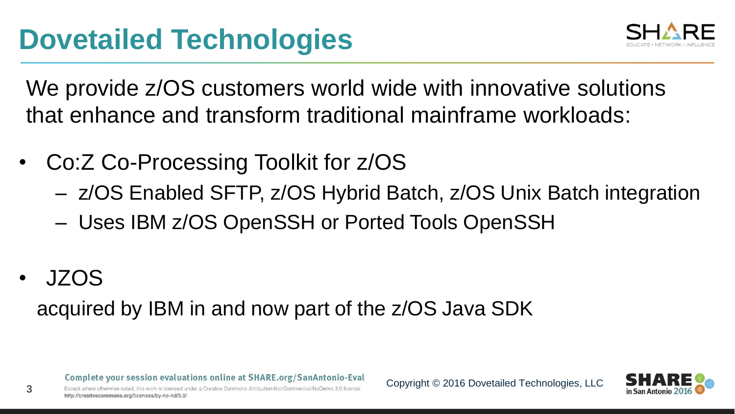

We provide  $z/OS$  customers world wide with innovative solutions that enhance and transform traditional mainframe workloads:

- Co:Z Co-Processing Toolkit for z/OS
	- z/OS Enabled SFTP, z/OS Hybrid Batch, z/OS Unix Batch integration
	- Uses IBM z/OS OpenSSH or Ported Tools OpenSSH
- JZOS

3

acquired by IBM in and now part of the z/OS Java SDK

Complete your session evaluations online at SHARE.org/SanAntonio-Eval

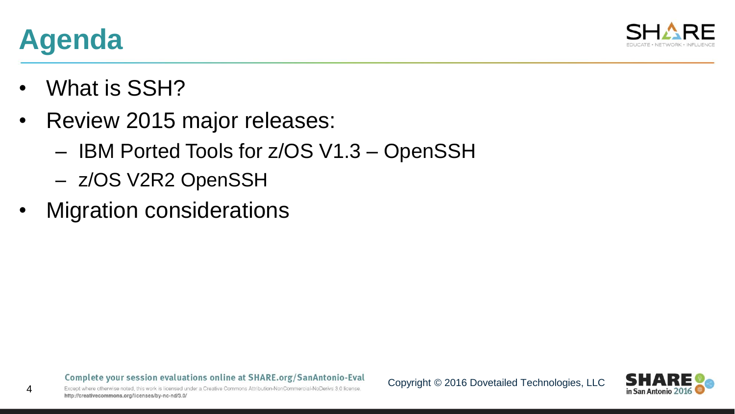

#### **Agenda**

- What is SSH?
- Review 2015 major releases:
	- IBM Ported Tools for z/OS V1.3 OpenSSH
	- z/OS V2R2 OpenSSH
- **Migration considerations**

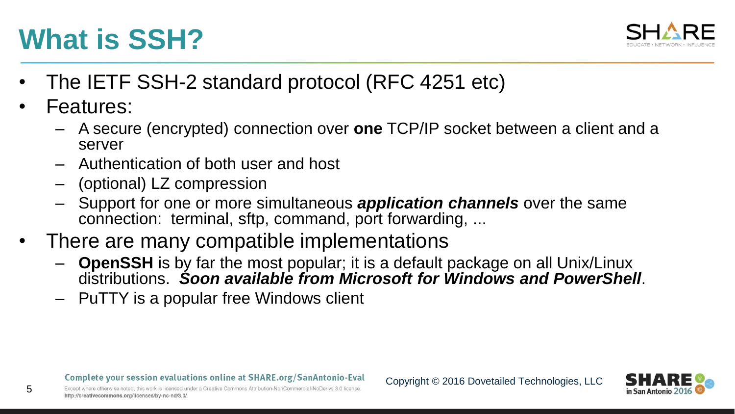# **What is SSH?**



- The IETF SSH-2 standard protocol (RFC 4251 etc)
- Features:

- A secure (encrypted) connection over **one** TCP/IP socket between a client and a server
- Authentication of both user and host
- (optional) LZ compression
- Support for one or more simultaneous *application channels* over the same connection: terminal, sftp, command, port forwarding, ...
- There are many compatible implementations
	- **OpenSSH** is by far the most popular; it is a default package on all Unix/Linux distributions. *Soon available from Microsoft for Windows and PowerShell*.
	- PuTTY is a popular free Windows client

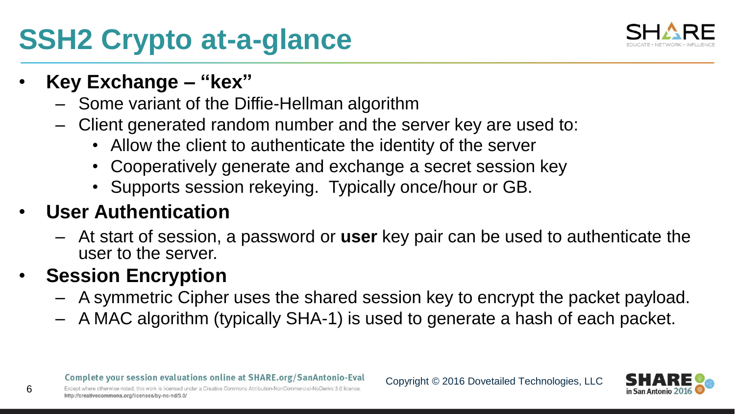# **SSH2 Crypto at-a-glance**



- **Key Exchange – "kex"**
	- Some variant of the Diffie-Hellman algorithm
	- Client generated random number and the server key are used to:
		- Allow the client to authenticate the identity of the server
		- Cooperatively generate and exchange a secret session key
		- Supports session rekeying. Typically once/hour or GB.

#### • **User Authentication**

– At start of session, a password or **user** key pair can be used to authenticate the user to the server.

#### • **Session Encryption**

- A symmetric Cipher uses the shared session key to encrypt the packet payload.
- A MAC algorithm (typically SHA-1) is used to generate a hash of each packet.

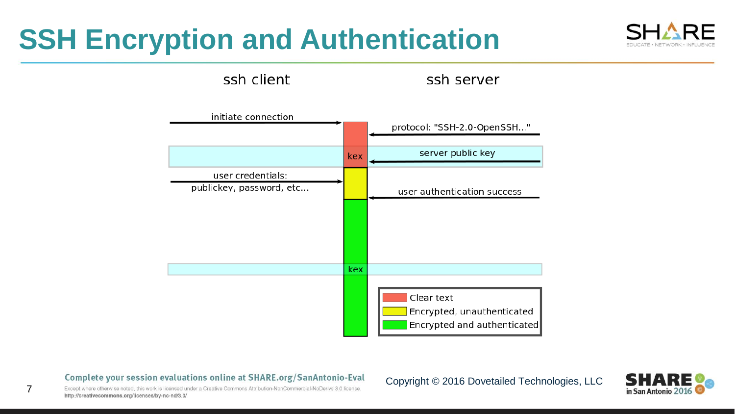#### **SSH Encryption and Authentication**



ssh client

ssh server



#### Complete your session evaluations online at SHARE.org/SanAntonio-Eval

Copyright © 2016 Dovetailed Technologies, LLC



Except where otherwise noted, this work is licensed under a Creative Commons Attribution-NonCommercial-NoDerivs 3.0 license. http://creativecommons.org/licenses/by-nc-nd/3.0/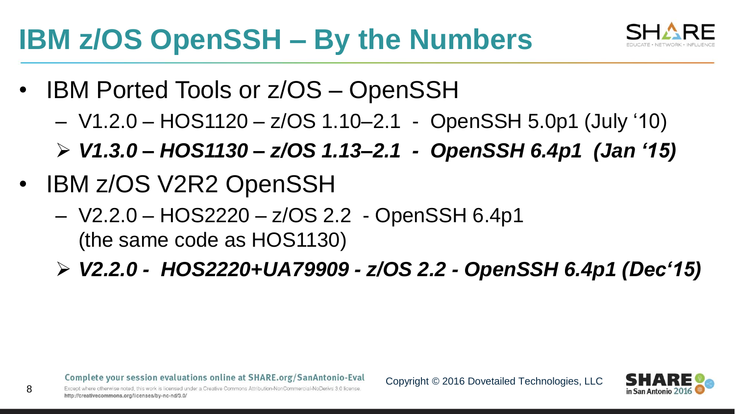#### **IBM z/OS OpenSSH – By the Numbers**



- IBM Ported Tools or z/OS OpenSSH
	- V1.2.0 HOS1120 z/OS 1.10–2.1 OpenSSH 5.0p1 (July '10)

*V1.3.0 – HOS1130 – z/OS 1.13–2.1 - OpenSSH 6.4p1 (Jan '15)*

- IBM z/OS V2R2 OpenSSH
	- V2.2.0 HOS2220 z/OS 2.2 OpenSSH 6.4p1 (the same code as HOS1130)
	- *V2.2.0 HOS2220+UA79909 - z/OS 2.2 - OpenSSH 6.4p1 (Dec'15)*

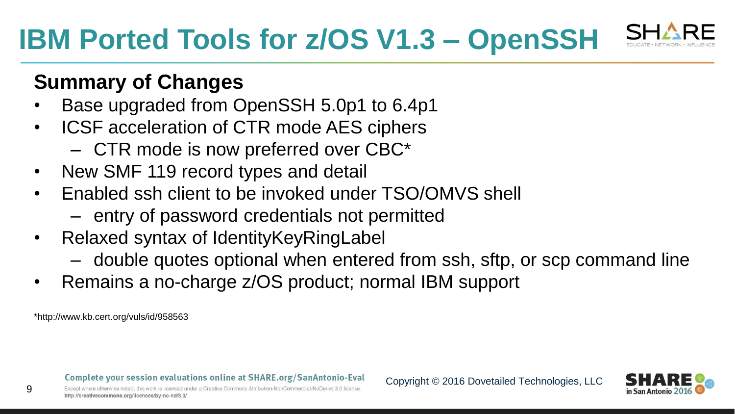#### **IBM Ported Tools for z/OS V1.3 – OpenSSH**



#### **Summary of Changes**

- Base upgraded from OpenSSH 5.0p1 to 6.4p1
- ICSF acceleration of CTR mode AES ciphers
	- CTR mode is now preferred over CBC\*
- New SMF 119 record types and detail
- Enabled ssh client to be invoked under TSO/OMVS shell
	- entry of password credentials not permitted
- Relaxed syntax of IdentityKeyRingLabel
	- double quotes optional when entered from ssh, sftp, or scp command line
- Remains a no-charge z/OS product; normal IBM support

\*http://www.kb.cert.org/vuls/id/958563

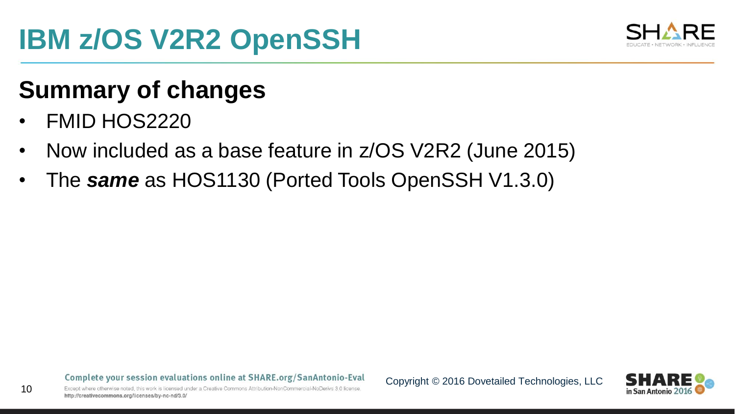

#### **Summary of changes**

• FMID HOS2220

10

- Now included as a base feature in z/OS V2R2 (June 2015)
- The *same* as HOS1130 (Ported Tools OpenSSH V1.3.0)

Complete your session evaluations online at SHARE.org/SanAntonio-Eval

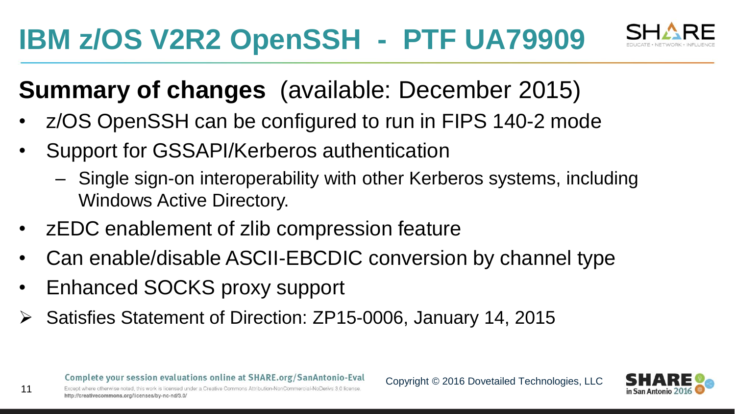

#### **Summary of changes** (available: December 2015)

- z/OS OpenSSH can be configured to run in FIPS 140-2 mode
- Support for GSSAPI/Kerberos authentication
	- Single sign-on interoperability with other Kerberos systems, including Windows Active Directory.
- zEDC enablement of zlib compression feature
- Can enable/disable ASCII-EBCDIC conversion by channel type
- Enhanced SOCKS proxy support
- Satisfies Statement of Direction: ZP15-0006, January 14, 2015

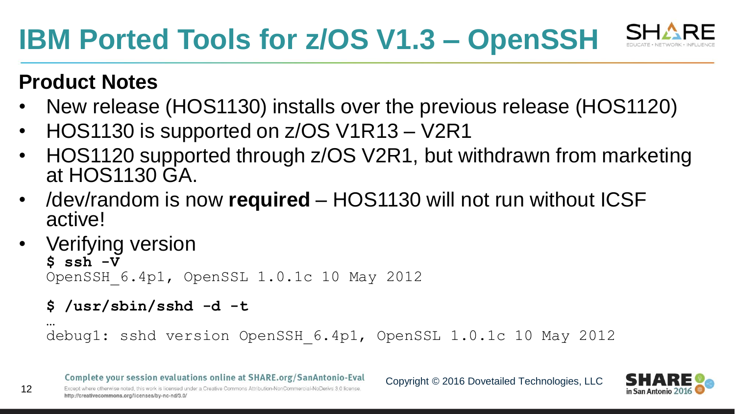

#### **Product Notes**

12

- New release (HOS1130) installs over the previous release (HOS1120)
- HOS1130 is supported on z/OS V1R13 V2R1
- HOS1120 supported through z/OS V2R1, but withdrawn from marketing at HOS1130 GA.
- /dev/random is now **required** HOS1130 will not run without ICSF active!
- Verifying version **\$ ssh -V** OpenSSH\_6.4p1, OpenSSL 1.0.1c 10 May 2012

```
$ /usr/sbin/sshd -d -t
…
```
debug1: sshd version OpenSSH\_6.4p1, OpenSSL 1.0.1c 10 May 2012

Complete your session evaluations online at SHARE.org/SanAntonio-Eval

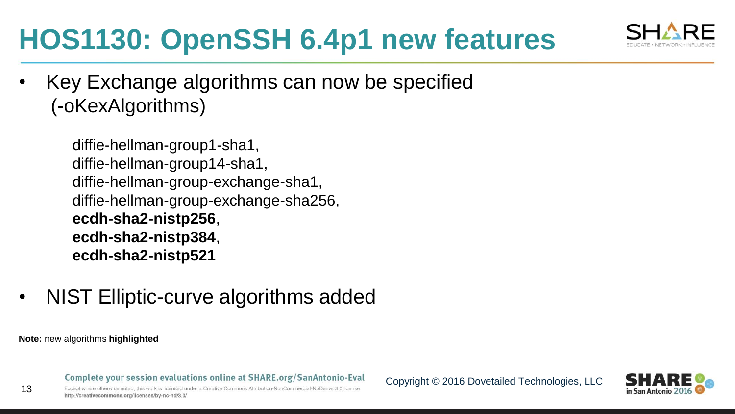

• Key Exchange algorithms can now be specified (-oKexAlgorithms)

> diffie-hellman-group1-sha1, diffie-hellman-group14-sha1, diffie-hellman-group-exchange-sha1, diffie-hellman-group-exchange-sha256, **ecdh-sha2-nistp256**, **ecdh-sha2-nistp384**, **ecdh-sha2-nistp521**

• NIST Elliptic-curve algorithms added

**Note:** new algorithms **highlighted**

Complete your session evaluations online at SHARE.org/SanAntonio-Eval

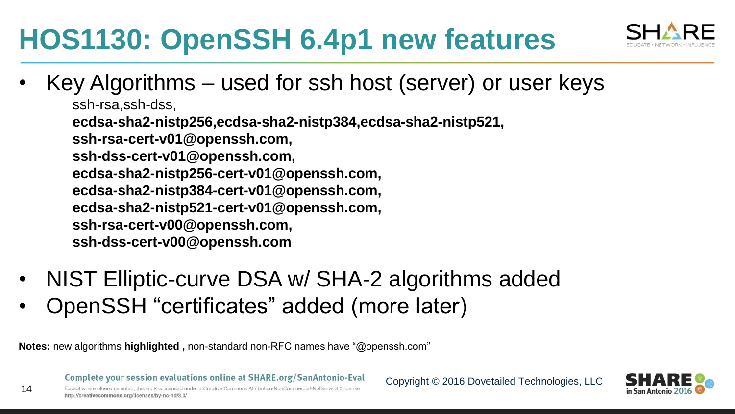

- NIST Elliptic-curve DSA w/ SHA-2 algorithms added
- OpenSSH "certificates" added (more later)

**Notes:** new algorithms **highlighted ,** non-standard non-RFC names have "@openssh.com"

Copyright © 2016 Dovetailed Technologies, LLC

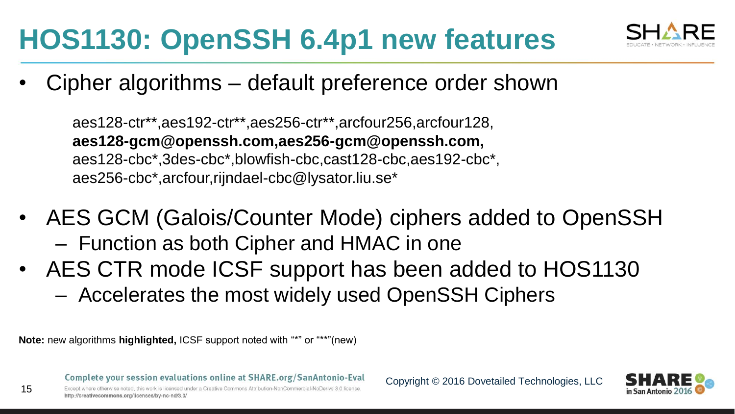

• Cipher algorithms – default preference order shown

aes128-ctr\*\*,aes192-ctr\*\*,aes256-ctr\*\*,arcfour256,arcfour128, **aes128-gcm@openssh.com,aes256-gcm@openssh.com,** aes128-cbc\*,3des-cbc\*,blowfish-cbc,cast128-cbc,aes192-cbc\*, aes256-cbc\*,arcfour,rijndael-cbc@lysator.liu.se\*

- AES GCM (Galois/Counter Mode) ciphers added to OpenSSH – Function as both Cipher and HMAC in one
- AES CTR mode ICSF support has been added to HOS1130
	- Accelerates the most widely used OpenSSH Ciphers

**Note:** new algorithms **highlighted,** ICSF support noted with "\*" or "\*\*"(new)

15

Except where otherwise noted this work is licensed under a Creative Commons Attribution-NonCommercial-NoDerivs 3.0 license http://creativecommons.org/licenses/by-nc-nd/3.0/

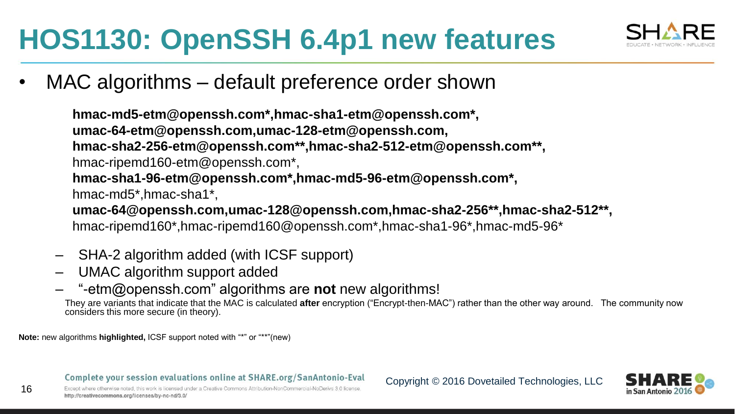

MAC algorithms – default preference order shown

**hmac-md5-etm@openssh.com\*,hmac-sha1-etm@openssh.com\*, umac-64-etm@openssh.com,umac-128-etm@openssh.com, hmac-sha2-256-etm@openssh.com\*\*,hmac-sha2-512-etm@openssh.com\*\*,** hmac-ripemd160-etm@openssh.com\*, **hmac-sha1-96-etm@openssh.com\*,hmac-md5-96-etm@openssh.com\*,** hmac-md5\*,hmac-sha1\*, **umac-64@openssh.com,umac-128@openssh.com,hmac-sha2-256\*\*,hmac-sha2-512\*\*,** hmac-ripemd160\*,hmac-ripemd160@openssh.com\*,hmac-sha1-96\*,hmac-md5-96\*

- SHA-2 algorithm added (with ICSF support)
- UMAC algorithm support added
- "-etm@openssh.com" algorithms are **not** new algorithms!

They are variants that indicate that the MAC is calculated **after** encryption ("Encrypt-then-MAC") rather than the other way around. The community now considers this more secure (in theory).

**Note:** new algorithms **highlighted,** ICSF support noted with "\*" or "\*\*"(new)

16

Complete your session evaluations online at SHARE.org/SanAntonio-Eval

Except where otherwise noted this work is licensed under a Creative Commons Attribution-NonCommercial-NoDerivs 3.0 license http://creativecommons.org/licenses/by-nc-nd/3.0/

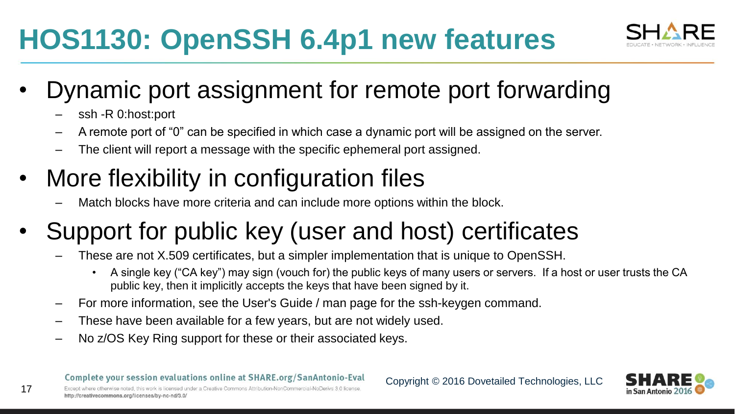- Dynamic port assignment for remote port forwarding
	- ssh -R 0:host:port
	- A remote port of "0" can be specified in which case a dynamic port will be assigned on the server.
	- The client will report a message with the specific ephemeral port assigned.
- More flexibility in configuration files
	- Match blocks have more criteria and can include more options within the block.
- Support for public key (user and host) certificates
	- These are not X.509 certificates, but a simpler implementation that is unique to OpenSSH.
		- A single key ("CA key") may sign (vouch for) the public keys of many users or servers. If a host or user trusts the CA public key, then it implicitly accepts the keys that have been signed by it.
	- For more information, see the User's Guide / man page for the ssh-keygen command.
	- These have been available for a few years, but are not widely used.
	- No z/OS Key Ring support for these or their associated keys.

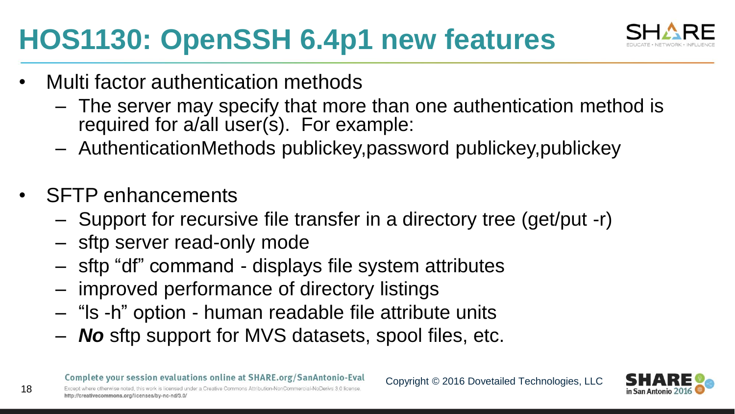

- Multi factor authentication methods
	- The server may specify that more than one authentication method is required for a/all user(s). For example:
	- AuthenticationMethods publickey,password publickey,publickey
- SFTP enhancements

- Support for recursive file transfer in a directory tree (get/put -r)
- sftp server read-only mode
- sftp "df" command displays file system attributes
- improved performance of directory listings
- "ls -h" option human readable file attribute units
- *No* sftp support for MVS datasets, spool files, etc.

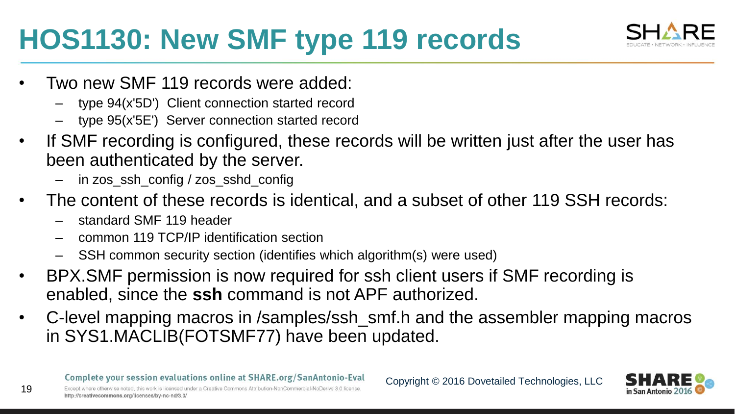# **HOS1130: New SMF type 119 records**



- Two new SMF 119 records were added:
	- type 94(x'5D') Client connection started record
	- type 95(x'5E') Server connection started record
- If SMF recording is configured, these records will be written just after the user has been authenticated by the server.
	- in zos\_ssh\_config / zos\_sshd\_config
- The content of these records is identical, and a subset of other 119 SSH records:
	- standard SMF 119 header

- common 119 TCP/IP identification section
- SSH common security section (identifies which algorithm(s) were used)
- BPX.SMF permission is now required for ssh client users if SMF recording is enabled, since the **ssh** command is not APF authorized.
- C-level mapping macros in /samples/ssh\_smf.h and the assembler mapping macros in SYS1.MACLIB(FOTSMF77) have been updated.

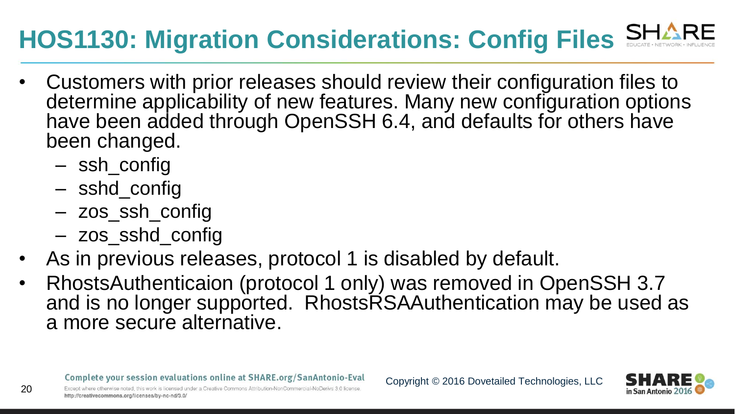#### **HOS1130: Migration Considerations: Config Files**

- Customers with prior releases should review their configuration files to determine applicability of new features. Many new configuration options have been added through OpenSSH 6.4, and defaults for others have been changed.
	- ssh\_config

- sshd\_config
- zos\_ssh\_config
- zos\_sshd\_config
- As in previous releases, protocol 1 is disabled by default.
- RhostsAuthenticaion (protocol 1 only) was removed in OpenSSH 3.7 and is no longer supported. RhostsRSAAuthentication may be used as a more secure alternative.

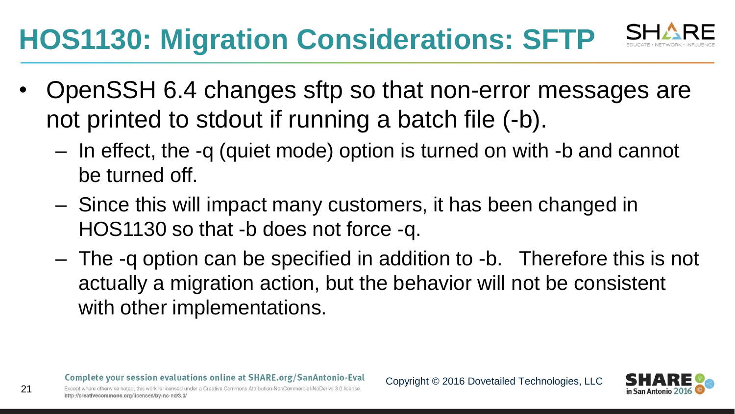# **HOS1130: Migration Considerations: SFTP**



- In effect, the -q (quiet mode) option is turned on with -b and cannot be turned off.
- Since this will impact many customers, it has been changed in HOS1130 so that -b does not force -q.
- The -q option can be specified in addition to -b. Therefore this is not actually a migration action, but the behavior will not be consistent with other implementations.

http://creativecommons.org/licenses/by-nc-nd/3.0/

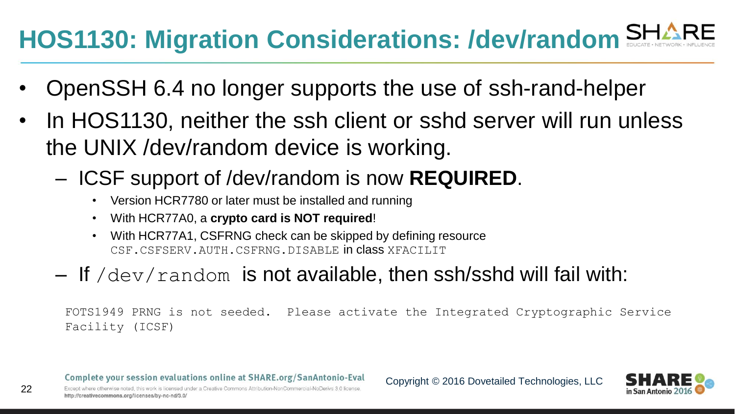#### **HOS1130: Migration Considerations: /dev/random**

- OpenSSH 6.4 no longer supports the use of ssh-rand-helper
- In HOS1130, neither the ssh client or sshd server will run unless the UNIX /dev/random device is working.
	- ICSF support of /dev/random is now **REQUIRED**.
		- Version HCR7780 or later must be installed and running
		- With HCR77A0, a **crypto card is NOT required**!
		- With HCR77A1, CSFRNG check can be skipped by defining resource CSF.CSFSERV.AUTH.CSFRNG.DISABLE in class XFACILIT
	- $-$  If /dev/random is not available, then ssh/sshd will fail with:

FOTS1949 PRNG is not seeded. Please activate the Integrated Cryptographic Service Facility (ICSF)

Complete your session evaluations online at SHARE.org/SanAntonio-Eval

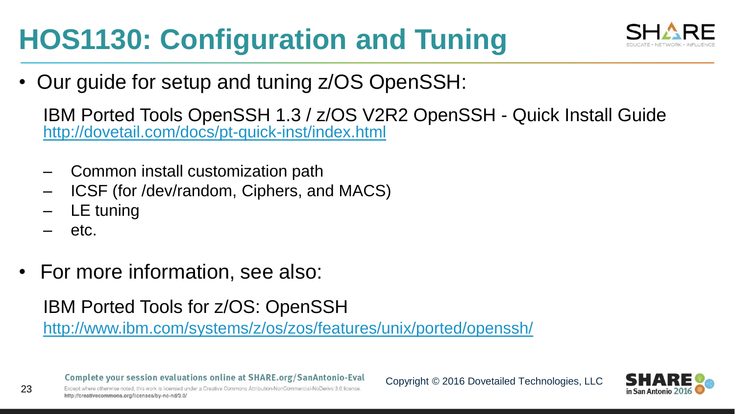#### **HOS1130: Configuration and Tuning**



• Our guide for setup and tuning z/OS OpenSSH:

IBM Ported Tools OpenSSH 1.3 / z/OS V2R2 OpenSSH - Quick Install Guide <http://dovetail.com/docs/pt-quick-inst/index.html>

- Common install customization path
- ICSF (for /dev/random, Ciphers, and MACS)
- LE tuning
- etc.

23

• For more information, see also:

IBM Ported Tools for z/OS: OpenSSH

<http://www.ibm.com/systems/z/os/zos/features/unix/ported/openssh/>

Complete your session evaluations online at SHARE.org/SanAntonio-Eval

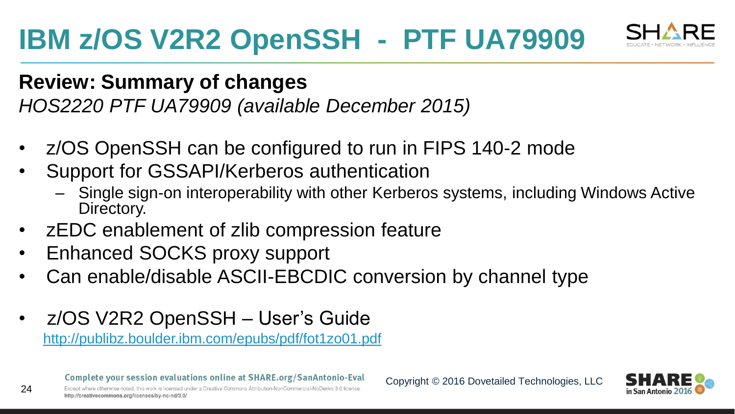

#### **Review: Summary of changes** *HOS2220 PTF UA79909 (available December 2015)*

- z/OS OpenSSH can be configured to run in FIPS 140-2 mode
- Support for GSSAPI/Kerberos authentication
	- Single sign-on interoperability with other Kerberos systems, including Windows Active Directory.
- zEDC enablement of zlib compression feature
- Enhanced SOCKS proxy support
- Can enable/disable ASCII-EBCDIC conversion by channel type
- z/OS V2R2 OpenSSH User's Guide <http://publibz.boulder.ibm.com/epubs/pdf/fot1zo01.pdf>

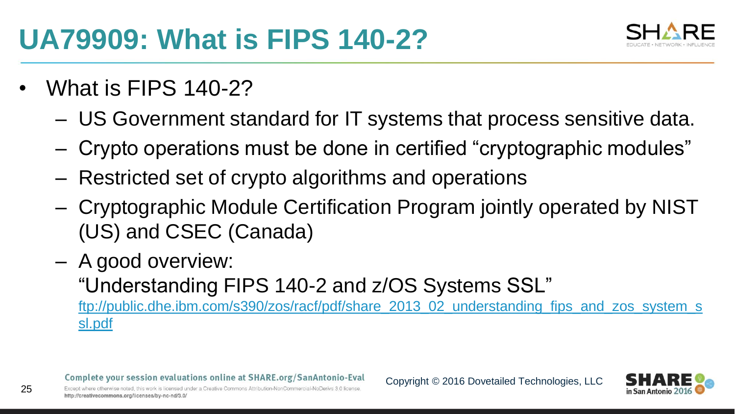

- What is FIPS 140-2?
	- US Government standard for IT systems that process sensitive data.
	- Crypto operations must be done in certified "cryptographic modules"
	- Restricted set of crypto algorithms and operations
	- Cryptographic Module Certification Program jointly operated by NIST (US) and CSEC (Canada)
	- A good overview:

25

"Understanding FIPS 140-2 and z/OS Systems SSL"

[ftp://public.dhe.ibm.com/s390/zos/racf/pdf/share\\_2013\\_02\\_understanding\\_fips\\_and\\_zos\\_system\\_s](ftp://public.dhe.ibm.com/s390/zos/racf/pdf/share_2013_02_understanding_fips_and_zos_system_ssl.pdf) [sl.pdf](ftp://public.dhe.ibm.com/s390/zos/racf/pdf/share_2013_02_understanding_fips_and_zos_system_ssl.pdf)

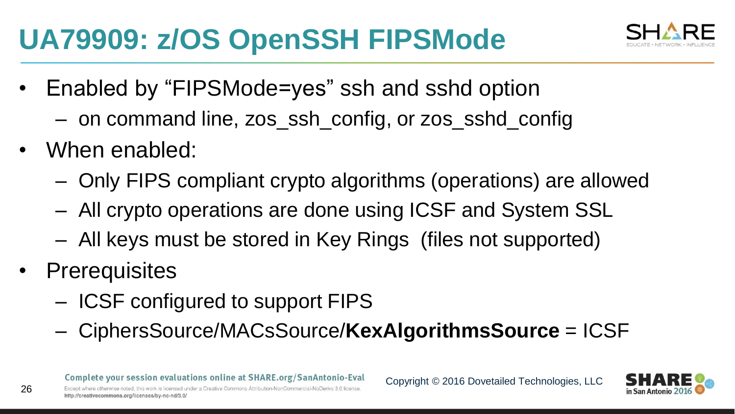#### **UA79909: z/OS OpenSSH FIPSMode**



- Enabled by "FIPSMode=yes" ssh and sshd option
	- on command line, zos\_ssh\_config, or zos\_sshd\_config
- When enabled:
	- Only FIPS compliant crypto algorithms (operations) are allowed
	- All crypto operations are done using ICSF and System SSL
	- All keys must be stored in Key Rings (files not supported)
- **Prerequisites**

- ICSF configured to support FIPS
- CiphersSource/MACsSource/**KexAlgorithmsSource** = ICSF

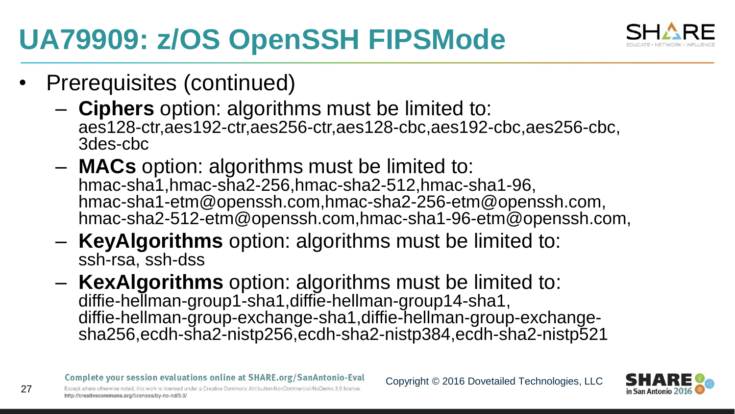# **UA79909: z/OS OpenSSH FIPSMode**



- Prerequisites (continued)
	- **Ciphers** option: algorithms must be limited to: aes128-ctr,aes192-ctr,aes256-ctr,aes128-cbc,aes192-cbc,aes256-cbc, 3des-cbc
	- **MACs** option: algorithms must be limited to: hmac-sha1,hmac-sha2-256,hmac-sha2-512,hmac-sha1-96, hmac-sha1-etm@openssh.com,hmac-sha2-256-etm@openssh.com, hmac-sha2-512-etm@openssh.com,hmac-sha1-96-etm@openssh.com,
	- **KeyAlgorithms** option: algorithms must be limited to: ssh-rsa, ssh-dss
	- **KexAlgorithms** option: algorithms must be limited to: diffie-hellman-group1-sha1,diffie-hellman-group14-sha1, diffie-hellman-group-exchange-sha1,diffie-hellman-group-exchangesha256,ecdh-sha2-nistp256,ecdh-sha2-nistp384,ecdh-sha2-nistp521

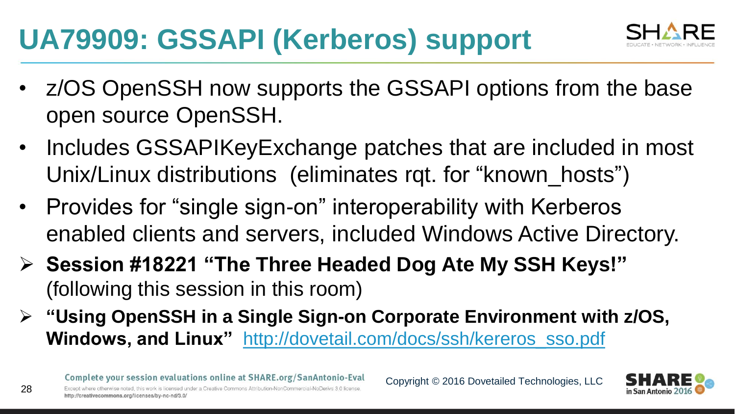# **UA79909: GSSAPI (Kerberos) support**

- z/OS OpenSSH now supports the GSSAPI options from the base open source OpenSSH.
- Includes GSSAPIKeyExchange patches that are included in most Unix/Linux distributions (eliminates rqt. for "known\_hosts")
- Provides for "single sign-on" interoperability with Kerberos enabled clients and servers, included Windows Active Directory.
- **Session #18221 "The Three Headed Dog Ate My SSH Keys!"** (following this session in this room)
- **"Using OpenSSH in a Single Sign-on Corporate Environment with z/OS, Windows, and Linux"** [http://dovetail.com/docs/ssh/kereros\\_sso.pdf](http://dovetail.com/docs/ssh/kereros_sso.pdf)

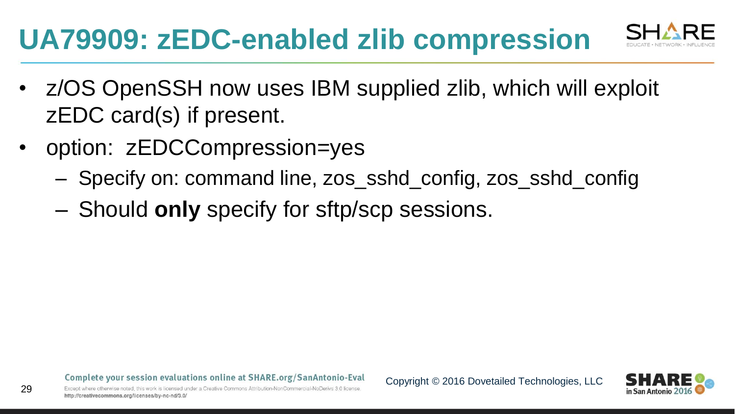#### **UA79909: zEDC-enabled zlib compression**



- z/OS OpenSSH now uses IBM supplied zlib, which will exploit zEDC card(s) if present.
- option: zEDCCompression=yes
	- Specify on: command line, zos\_sshd\_config, zos\_sshd\_config
	- Should **only** specify for sftp/scp sessions.

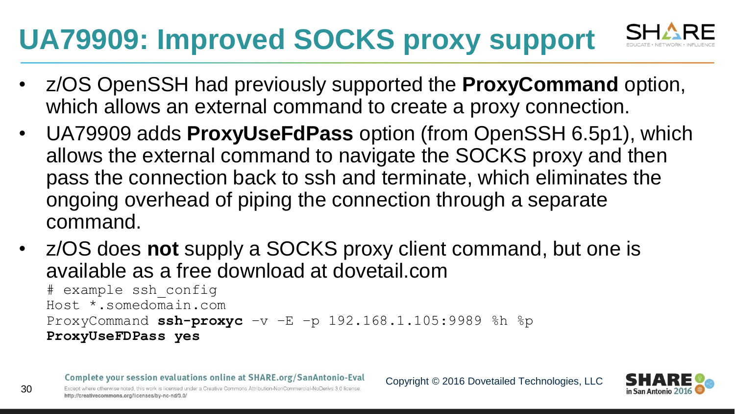# **UA79909: Improved SOCKS proxy support**



- z/OS OpenSSH had previously supported the **ProxyCommand** option, which allows an external command to create a proxy connection.
- UA79909 adds **ProxyUseFdPass** option (from OpenSSH 6.5p1), which allows the external command to navigate the SOCKS proxy and then pass the connection back to ssh and terminate, which eliminates the ongoing overhead of piping the connection through a separate command.
- z/OS does **not** supply a SOCKS proxy client command, but one is available as a free download at dovetail.com

# example ssh\_config Host \*.somedomain.com ProxyCommand **ssh-proxyc** –v –E –p 192.168.1.105:9989 %h %p **ProxyUseFDPass yes**

Complete your session evaluations online at SHARE.org/SanAntonio-Eval

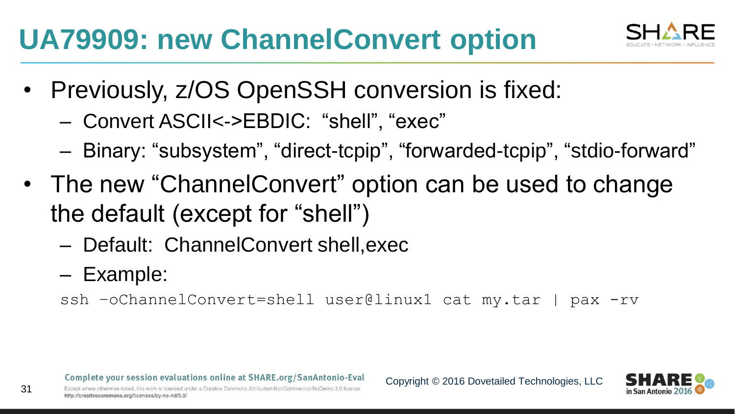# **UA79909: new ChannelConvert option**



- Previously, z/OS OpenSSH conversion is fixed:
	- Convert ASCII<->EBDIC: "shell", "exec"
	- Binary: "subsystem", "direct-tcpip", "forwarded-tcpip", "stdio-forward"
- The new "ChannelConvert" option can be used to change the default (except for "shell")
	- Default: ChannelConvert shell,exec
	- Example:

31

ssh -oChannelConvert=shell user@linux1 cat my.tar | pax -rv

Complete your session evaluations online at SHARE.org/SanAntonio-Eval

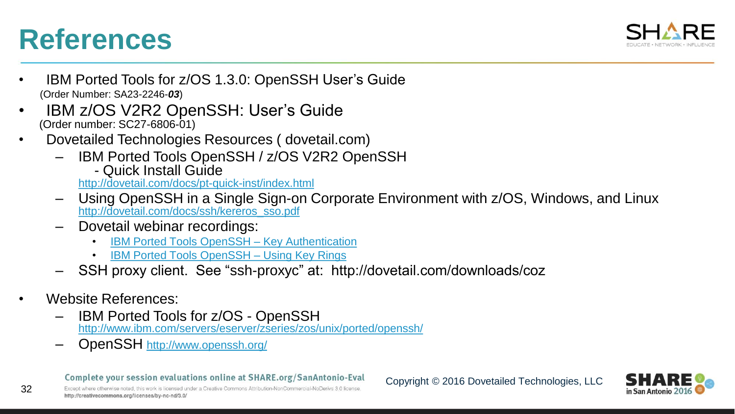#### **References**



- IBM Ported Tools for z/OS 1.3.0: OpenSSH User's Guide (Order Number: SA23-2246-*03*)
- IBM z/OS V2R2 OpenSSH: User's Guide (Order number: SC27-6806-01)
- Dovetailed Technologies Resources ( dovetail.com)
	- IBM Ported Tools OpenSSH / z/OS V2R2 OpenSSH
		- Quick Install Guide

<http://dovetail.com/docs/pt-quick-inst/index.html>

- Using OpenSSH in a Single Sign-on Corporate Environment with z/OS, Windows, and Linux [http://dovetail.com/docs/ssh/kereros\\_sso.pdf](http://dovetail.com/docs/ssh/kereros_sso.pdf)
- Dovetail webinar recordings:
	- [IBM Ported Tools OpenSSH](http://dovetail.com/webinars.html) [–](http://dovetail.com/webinars.html) [Key Authentication](http://dovetail.com/webinars.html)
	- [IBM Ported Tools OpenSSH](http://dovetail.com/webinars.html) [–](http://dovetail.com/webinars.html) [Using Key Rings](http://dovetail.com/webinars.html)
- SSH proxy client. See "ssh-proxyc" at: http://dovetail.com/downloads/coz
- Website References:
	- IBM Ported Tools for z/OS OpenSSH [http://www.ibm.com/servers/eserver/zseries/zos/unix/ported/openssh/](http://www.ibm.com/systems/z/os/zos/features/unix/ported/openssh/)
	- OpenSSH <http://www.openssh.org/>

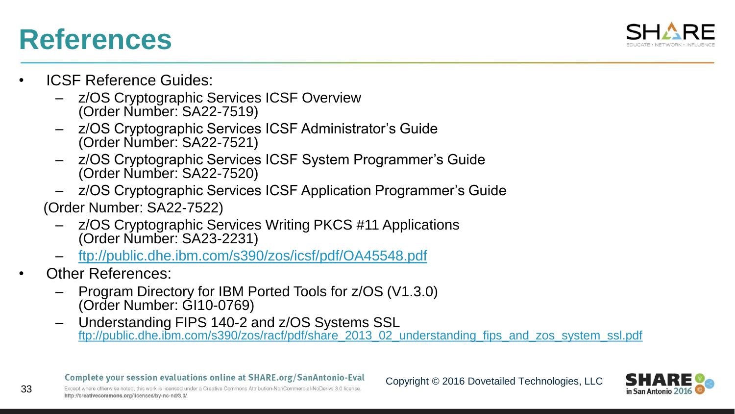#### **References**



- ICSF Reference Guides:
	- z/OS Cryptographic Services ICSF Overview (Order Number: SA22-7519)
	- z/OS Cryptographic Services ICSF Administrator's Guide (Order Number: SA22-7521)
	- z/OS Cryptographic Services ICSF System Programmer's Guide (Order Number: SA22-7520)
	- z/OS Cryptographic Services ICSF Application Programmer's Guide

(Order Number: SA22-7522)

- z/OS Cryptographic Services Writing PKCS #11 Applications (Order Number: SA23-2231)
- <ftp://public.dhe.ibm.com/s390/zos/icsf/pdf/OA45548.pdf>
- **Other References:**

- Program Directory for IBM Ported Tools for z/OS (V1.3.0) (Order Number: GI10-0769)
- Understanding FIPS 140-2 and z/OS Systems SSL [ftp://public.dhe.ibm.com/s390/zos/racf/pdf/share\\_2013\\_02\\_understanding\\_fips\\_and\\_zos\\_system\\_ssl.pdf](ftp://public.dhe.ibm.com/s390/zos/racf/pdf/share_2013_02_understanding_fips_and_zos_system_ssl.pdf)

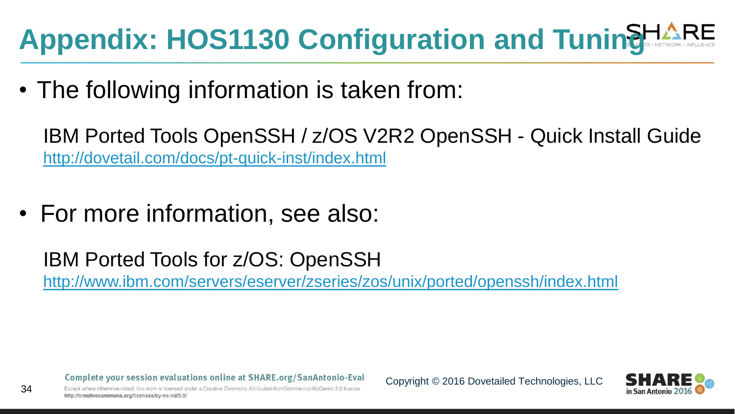# **Appendix: HOS1130 Configuration and Tuning LARE**

• The following information is taken from:

IBM Ported Tools OpenSSH / z/OS V2R2 OpenSSH - Quick Install Guide <http://dovetail.com/docs/pt-quick-inst/index.html>

• For more information, see also:

#### IBM Ported Tools for z/OS: OpenSSH

<http://www.ibm.com/servers/eserver/zseries/zos/unix/ported/openssh/index.html>

Complete your session evaluations online at SHARE.org/SanAntonio-Eval

Except where otherwise noted, this work is licensed under a Creative Commons Attribution-NonCommercial-NoDeriys 3.0 license http://creativecommons.org/licenses/by-nc-nd/3.0/

34

Copyright © 2016 Dovetailed Technologies, LLC

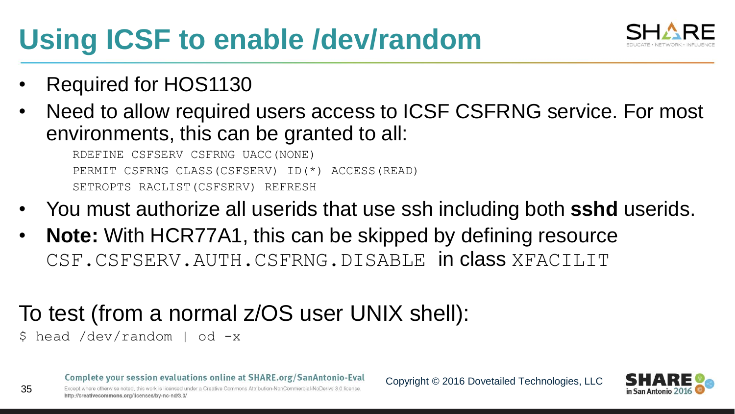# **Using ICSF to enable /dev/random**



- Required for HOS1130
- Need to allow required users access to ICSF CSFRNG service. For most environments, this can be granted to all:

RDEFINE CSFSERV CSFRNG UACC(NONE) PERMIT CSFRNG CLASS(CSFSERV) ID(\*) ACCESS(READ) SETROPTS RACLIST(CSFSERV) REFRESH

- You must authorize all userids that use ssh including both **sshd** userids.
- **Note:** With HCR77A1, this can be skipped by defining resource CSF.CSFSERV.AUTH.CSFRNG.DISABLE in class XFACILIT

#### To test (from a normal z/OS user UNIX shell):

\$ head /dev/random | od -x

http://creativecommons.org/licenses/by-nc-nd/3.0/

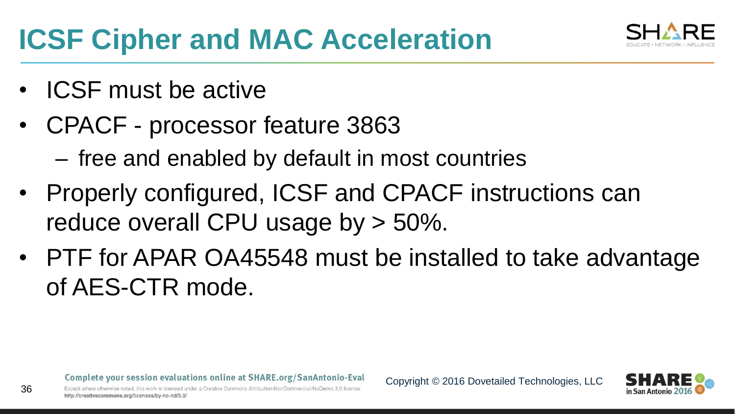• ICSF must be active

http://creativecommons.org/licenses/by-nc-nd/3.0/

- CPACF processor feature 3863
	- free and enabled by default in most countries
- Properly configured, ICSF and CPACF instructions can reduce overall CPU usage by > 50%.
- PTF for APAR OA45548 must be installed to take advantage of AES-CTR mode.

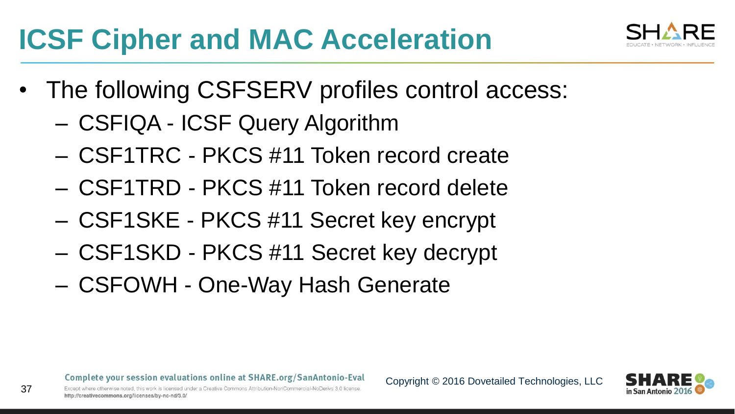

- The following CSFSERV profiles control access:
	- CSFIQA ICSF Query Algorithm
	- CSF1TRC PKCS #11 Token record create
	- CSF1TRD PKCS #11 Token record delete
	- CSF1SKE PKCS #11 Secret key encrypt
	- CSF1SKD PKCS #11 Secret key decrypt
	- CSFOWH One-Way Hash Generate

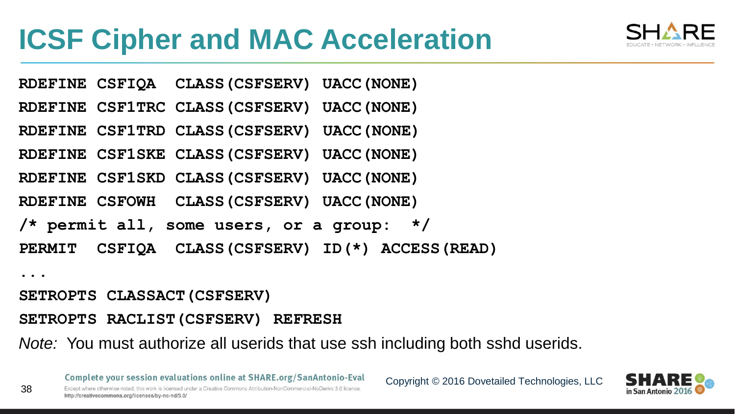

**RDEFINE CSFIQA CLASS(CSFSERV) UACC(NONE)**

**RDEFINE CSF1TRC CLASS(CSFSERV) UACC(NONE)**

**RDEFINE CSF1TRD CLASS(CSFSERV) UACC(NONE)**

**RDEFINE CSF1SKE CLASS(CSFSERV) UACC(NONE)**

**RDEFINE CSF1SKD CLASS(CSFSERV) UACC(NONE)**

**RDEFINE CSFOWH CLASS(CSFSERV) UACC(NONE)**

**/\* permit all, some users, or a group: \*/**

**PERMIT CSFIQA CLASS(CSFSERV) ID(\*) ACCESS(READ)**

**...** 

**SETROPTS CLASSACT(CSFSERV)**

**SETROPTS RACLIST(CSFSERV) REFRESH**

*Note:* You must authorize all userids that use ssh including both sshd userids.

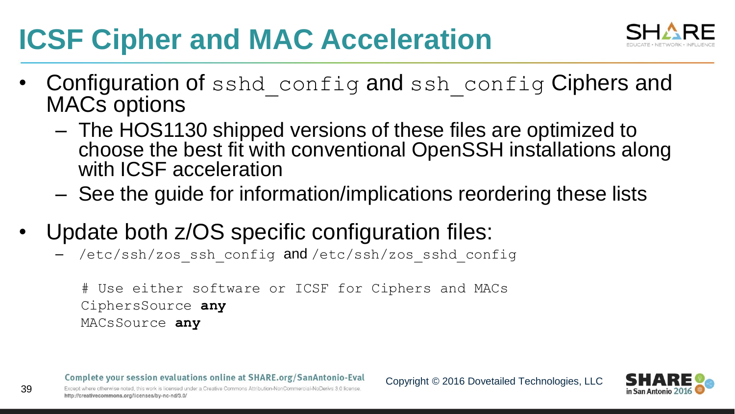

- Configuration of sshd config and ssh config Ciphers and MACs options
	- The HOS1130 shipped versions of these files are optimized to choose the best fit with conventional OpenSSH installations along with ICSF acceleration
	- See the guide for information/implications reordering these lists
- Update both  $z/OS$  specific configuration files:
	- /etc/ssh/zos ssh\_config and /etc/ssh/zos\_sshd\_config

# Use either software or ICSF for Ciphers and MACs CiphersSource **any** MACsSource **any**

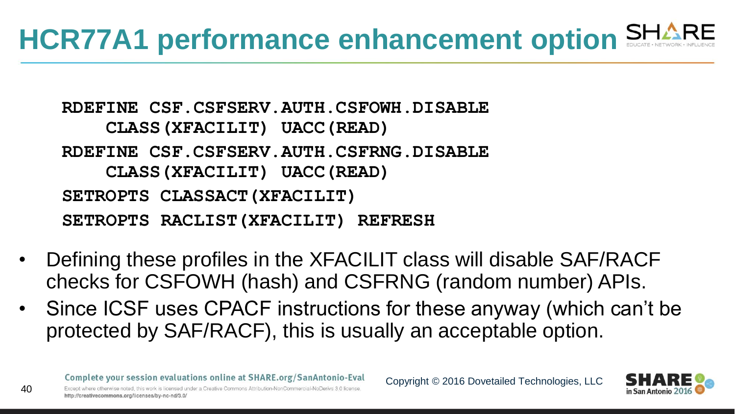# **HCR77A1 performance enhancement option**

**RDEFINE CSF.CSFSERV.AUTH.CSFOWH.DISABLE CLASS(XFACILIT) UACC(READ) RDEFINE CSF.CSFSERV.AUTH.CSFRNG.DISABLE CLASS(XFACILIT) UACC(READ) SETROPTS CLASSACT(XFACILIT) SETROPTS RACLIST(XFACILIT) REFRESH**

- Defining these profiles in the XFACILIT class will disable SAF/RACF checks for CSFOWH (hash) and CSFRNG (random number) APIs.
- Since ICSF uses CPACF instructions for these anyway (which can't be protected by SAF/RACF), this is usually an acceptable option.

Copyright © 2016 Dovetailed Technologies, LLC

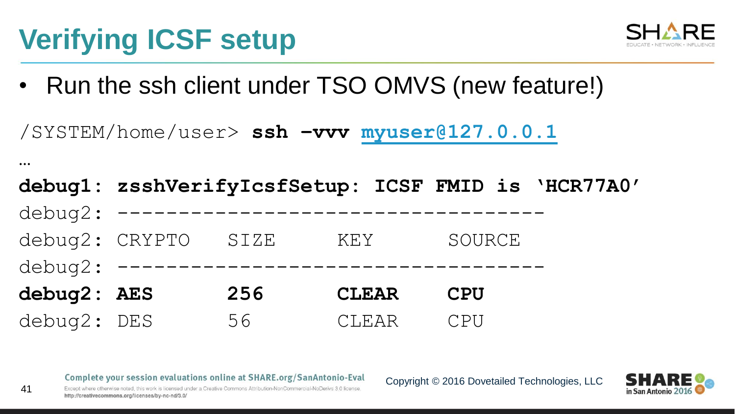# **Verifying ICSF setup**

**…**

41



• Run the ssh client under TSO OMVS (new feature!)

/SYSTEM/home/user> **ssh –vvv [myuser@127.0.0.1](mailto:myuser@127.0.0.1)**

**debug1: zsshVerifyIcsfSetup: ICSF FMID is 'HCR77A0'** debug2: --------------------debug2: CRYPTO SIZE KEY SOURCE debug2: **debug2: AES 256 CLEAR CPU** debug2: DES 56 CLEAR CPU

Complete your session evaluations online at SHARE.org/SanAntonio-Eval

Copyright © 2016 Dovetailed Technologies, LLC

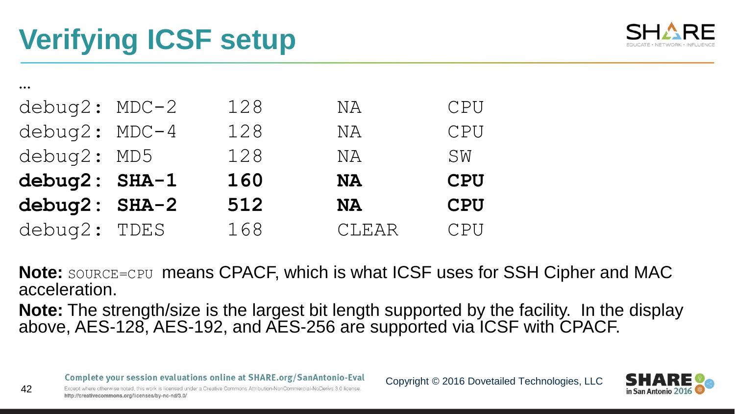

| $\ddotsc$       |     |           |            |
|-----------------|-----|-----------|------------|
| $debuq2: MDC-2$ | 128 | NA        | CPU        |
| debug2: MDC-4   | 128 | NA        | CPU        |
| debug2: MD5     | 128 | NA        | SW         |
| debug2: SHA-1   | 160 | <b>NA</b> | <b>CPU</b> |
| debug2: SHA-2   | 512 | <b>NA</b> | <b>CPU</b> |
| debug2: TDES    | 168 | CLEAR     | <b>CPU</b> |

**Note:** SOURCE=CPU means CPACF, which is what ICSF uses for SSH Cipher and MAC acceleration.

**Note:** The strength/size is the largest bit length supported by the facility. In the display above, AES-128, AES-192, and AES-256 are supported via ICSF with CPACF.

Complete your session evaluations online at SHARE.org/SanAntonio-Eval

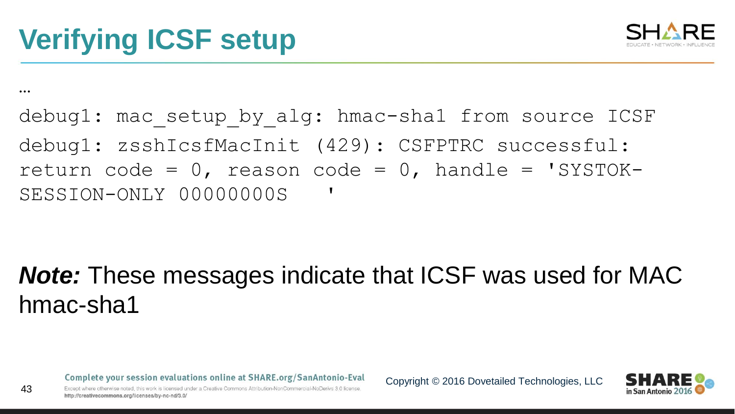…

43



debug1: mac setup by alg: hmac-sha1 from source ICSF debug1: zsshIcsfMacInit (429): CSFPTRC successful: return code =  $0$ , reason code =  $0$ , handle = 'SYSTOK-SESSION-ONLY 00000000S

#### *Note:* These messages indicate that ICSF was used for MAC hmac-sha1

Complete your session evaluations online at SHARE.org/SanAntonio-Eval

Copyright © 2016 Dovetailed Technologies, LLC

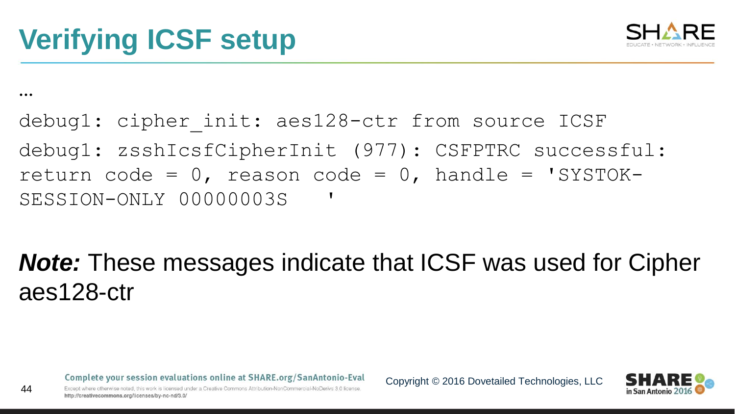

… debug1: cipher init: aes128-ctr from source ICSF debug1: zsshIcsfCipherInit (977): CSFPTRC successful: return code =  $0$ , reason code =  $0$ , handle = 'SYSTOK-SESSION-ONLY 00000003S

*Note:* These messages indicate that ICSF was used for Cipher aes128-ctr

Complete your session evaluations online at SHARE.org/SanAntonio-Eval

44 Except where otherwise noted, this work is licensed under a Creative Commons Attribution-NonCommercial-NoDeriys 3.0 license http://creativecommons.org/licenses/by-nc-nd/3.0/